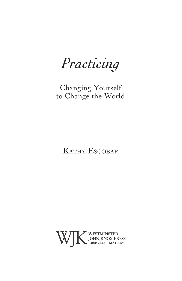*Practicing*

Changing Yourself to Change the World

KATHY ESCOBAR

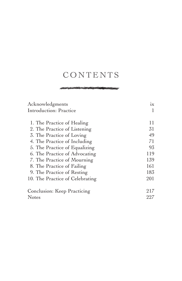# CONTENTS

| Acknowledgments                 | 1X  |
|---------------------------------|-----|
| <b>Introduction: Practice</b>   | 1   |
| 1. The Practice of Healing      | 11  |
| 2. The Practice of Listening    | 31  |
| 3. The Practice of Loving       | 49  |
| 4. The Practice of Including    | 71  |
| 5. The Practice of Equalizing   | 93  |
| 6. The Practice of Advocating   | 119 |
| 7. The Practice of Mourning     | 139 |
| 8. The Practice of Failing      | 161 |
| 9. The Practice of Resting      | 183 |
| 10. The Practice of Celebrating | 201 |
| Conclusion: Keep Practicing     | 217 |
| Notes                           | 227 |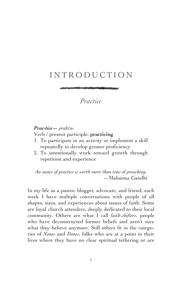## INTRODUCTION

#### *Practice*

#### *Prac·tice— praktəs*

Verb / present participle: **practicing**

- 1. To participate in an activity or implement a skill repeatedly to develop greater proficiency
- 2. To intentionally work toward growth through repetition and experience

*An ounce of practice is worth more than tons of preaching.* —Mahatma Gandhi

In my life as a pastor, blogger, advocate, and friend, each week I have multiple conversations with people of all shapes, sizes, and experiences about issues of faith. Some are loyal church attenders, deeply dedicated to their local community. Others are what I call *faith-shifters*, people who have deconstructed former beliefs and aren't sure what they believe anymore. Still others fit in the categories of *Nones* and *Dones*, folks who are at a point in their lives where they have no clear spiritual tethering or are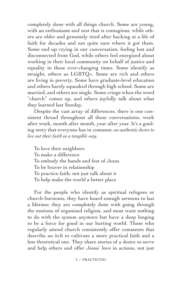completely done with all things church. Some are young, with an enthusiasm and zest that is contagious, while others are older and genuinely tired after hacking at a life of faith for decades and not quite sure where it got them. Some end up crying in our conversation, feeling lost and disconnected from God, while others feel energized about working in their local community on behalf of justice and equality in these ever-changing times. Some identify as straight, others as LGBTQ+. Some are rich and others are living in poverty. Some have graduate-level education and others barely squeaked through high school. Some are married, and others are single. Some cringe when the word "church" comes up, and others joyfully talk about what they learned last Sunday.

Despite the vast array of differences, there is one consistent thread throughout all these conversations, week after week, month after month, year after year. It's a guiding story that everyone has in common: *an authentic desire to live out their faith in a tangible way.*

To love their neighbors To make a difference To embody the hands and feet of Jesus To be braver in relationship To practice faith, not just talk about it To help make the world a better place

For the people who identify as spiritual refugees or church-burnouts, they have heard enough sermons to last a lifetime; they are completely done with going through the motions of organized religion, and most want nothing to do with the system anymore but have a deep longing to be a force for good in our hurting world. Those who regularly attend church consistently offer comments that describe an itch to cultivate a more practical faith and a less theoretical one. They share stories of a desire to serve and help others and offer Jesus' love in actions, not just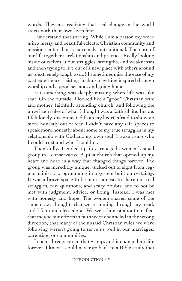words. They are realizing that real change in the world starts with their own lives first.

I understand that stirring. While I am a pastor, my work is in a messy and beautiful eclectic Christian community and mission center that is extremely untraditional. The core of our life together is relationship and practice. Really looking inside ourselves at our struggles, strengths, and weaknesses and then trying to live out of a new place with others around us is extremely tough to do! I sometimes miss the ease of my past experience—sitting in church, getting inspired through worship and a good sermon, and going home.

Yet something was deeply missing when life was like that. On the outside, I looked like a "good" Christian wife and mother, faithfully attending church, and following the unwritten rules of what I thought was a faithful life. Inside, I felt lonely, disconnected from my heart, afraid to show up more honestly out of fear. I didn't have any safe spaces to speak more honestly about some of my true struggles in my relationship with God and my own soul. I wasn't sure who I could trust and who I couldn't.

Thankfully, I ended up in a renegade women's small group in a conservative Baptist church that opened up my heart and head in a way that changed things forever. The group was incredibly unique, tucked out of sight from regular ministry programming in a system built on certainty. It was a brave space to be more honest, to share our real struggles, raw questions, and scary doubts, and to not be met with judgment, advice, or fixing. Instead, I was met with honesty and hope. The women shared some of the same crazy thoughts that were running through my head, and I felt much less alone. We were honest about our fear that maybe our efforts in faith were channeled in the wrong direction, that many of the unsaid Christian rules we were following weren't going to serve us well in our marriages, parenting, or communities.

I spent three years in that group, and it changed my life forever. I knew I could never go back to a Bible study that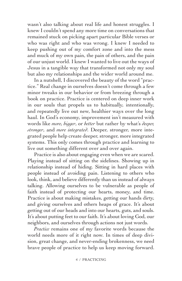wasn't also talking about real life and honest struggles. I knew I couldn't spend any more time on conversations that remained stuck on picking apart particular Bible verses or who was right and who was wrong. I knew I needed to keep pushing out of my comfort zone and into the mess and muck of my own pain, the pain of others, and the pain of our unjust world. I knew I wanted to live out the ways of Jesus in a tangible way that transformed not only my soul but also my relationships and the wider world around me.

In a nutshell, I discovered the beauty of the word "practice." Real change in ourselves doesn't come through a few minor tweaks in our behavior or from breezing through a book on practice. Practice is centered on deep inner work in our souls that propels us to habitually, intentionally, and repeatedly live out new, healthier ways over the long haul. In God's economy, improvement isn't measured with words like *more, bigger*, or *better* but rather by what's *deeper, stronger*, and *more integrated*. Deeper, stronger, more integrated people help create deeper, stronger, more integrated systems. This only comes through practice and learning to live out something different over and over again.

Practice is also about engaging even when we are scared. Playing instead of sitting on the sidelines. Showing up in relationship instead of hiding. Sitting in hard places with people instead of avoiding pain. Listening to others who look, think, and believe differently than us instead of always talking. Allowing ourselves to be vulnerable as people of faith instead of protecting our hearts, money, and time. Practice is about making mistakes, getting our hands dirty, and giving ourselves and others heaps of grace. It's about getting out of our heads and into our hearts, guts, and souls. It's about putting feet to our faith. It's about loving God, our neighbors, and ourselves through actions not just words.

*Practice* remains one of my favorite words because the world needs more of it right now. In times of deep division, great change, and never-ending brokenness, we need brave people of practice to help us keep moving forward.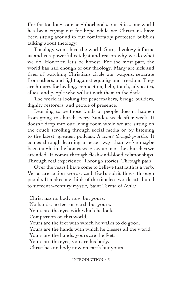For far too long, our neighborhoods, our cities, our world has been crying out for hope while we Christians have been sitting around in our comfortably protected bubbles talking about theology.

Theology won't heal the world. Sure, theology informs us and is a powerful catalyst and reason why we do what we do. However, let's be honest. For the most part, the world has had enough of our theology. Many are sick and tired of watching Christians circle our wagons, separate from others, and fight against equality and freedom. They are hungry for healing, connection, help, touch, advocates, allies, and people who will sit with them in the dark.

The world is looking for peacemakers, bridge builders, dignity restorers, and people of presence.

Learning to be those kinds of people doesn't happen from going to church every Sunday week after week. It doesn't drop into our living room while we are sitting on the couch scrolling through social media or by listening to the latest, greatest podcast. *It comes through practice.* It comes through learning a better way than we've maybe been taught in the homes we grew up in or the churches we attended. It comes through flesh-and-blood relationships. Through real experience. Through stories. Through pain.

Over the years I have come to believe that faith is a verb. Verbs are action words, and God's spirit flows through people. It makes me think of the timeless words attributed to sixteenth-century mystic, Saint Teresa of Avila:

Christ has no body now but yours, No hands, no feet on earth but yours, Yours are the eyes with which he looks Compassion on this world, Yours are the feet with which he walks to do good, Yours are the hands with which he blesses all the world. Yours are the hands, yours are the feet, Yours are the eyes, you are his body. Christ has no body now on earth but yours.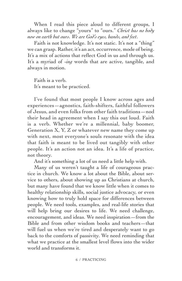When I read this piece aloud to different groups, I always like to change "yours" to "ours." *Christ has no body now on earth but ours. We are God's eyes, hands, and feet*.

Faith is not knowledge. It's not static. It's not a "thing" we can grasp. Rather, it's an act, occurrence, mode of being. It's a mix of actions that reflect God in us and through us. It's a myriad of -*ing* words that are active, tangible, and always in motion.

Faith is a verb. It's meant to be practiced.

I've found that most people I know across ages and experiences—agnostics, faith-shifters, faithful followers of Jesus, and even folks from other faith traditions—nod their head in agreement when I say this out loud. Faith is a verb. Whether we're a millennial, baby boomer, Generation X, Y, Z or whatever new name they come up with next, most everyone's souls resonate with the idea that faith is meant to be lived out tangibly with other people. It's an action not an idea. It's a life of practice, not theory.

And it's something a lot of us need a little help with.

Many of us weren't taught a life of courageous practice in church. We know a lot about the Bible, about service to others, about showing up as Christians at church, but many have found that we know little when it comes to healthy relationship skills, social justice advocacy, or even knowing how to truly hold space for differences between people. We need tools, examples, and real-life stories that will help bring our desires to life. We need challenge, encouragement, and ideas. We need inspiration—from the Bible and from other wisdom books and teachers—that will fuel us when we're tired and desperately want to go back to the comforts of passivity. We need reminding that what we practice at the smallest level flows into the wider world and transforms it.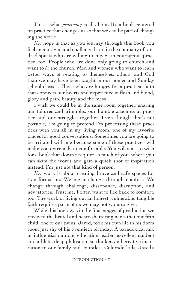This is what *practicing* is all about. It's a book centered on practice that changes us so that we can be part of changing the world.

My hope is that as you journey through this book you feel encouraged and challenged and in the company of kindred spirits who are willing to engage in courageous practice, too. People who are done only going to church and want to *be* the church. Men and women who want to learn better ways of relating to themselves, others, and God than we may have been taught in our homes and Sunday school classes. Those who are hungry for a practical faith that connects our hearts and experience in flesh and blood, glory and pain, beauty and the mess.

I wish we could be in the same room together, sharing our failures and triumphs, our humble attempts at practice and our struggles together. Even though that's not possible, I'm going to pretend I'm processing these practices with you all in my living room, one of my favorite places for good conversations. Sometimes you are going to be irritated with me because some of these practices will make you extremely uncomfortable. You will start to wish for a book that doesn't require as much of you, where you can skim the words and gain a quick shot of inspiration instead. I'm just not that kind of person.

My work is about creating brave and safe spaces for transformation. We never change through comfort. We change through challenge, dissonance, disruption, and new stories. Trust me, I often want to flee back to comfort, too. The work of living out an honest, vulnerable, tangible faith requires parts of us we may not want to give.

While this book was in the final stages of production we received the brutal and heart-shattering news that our fifth child, one of our twins, Jared, took his own life in his dorm room just shy of his twentieth birthday. A paradoxical mix of influential outdoor education leader, excellent student and athlete, deep philosophical thinker, and creative inspiration to our family and countless Colorado kids, Jared's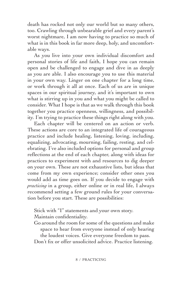death has rocked not only our world but so many others, too. Crawling through unbearable grief and every parent's worst nightmare, I am now having to practice so much of what is in this book in far more deep, holy, and uncomfortable ways.

As you live into your own individual discomfort and personal stories of life and faith, I hope you can remain open and be challenged to engage and dive in as deeply as you are able. I also encourage you to use this material in your own way. Linger on one chapter for a long time, or work through it all at once. Each of us are in unique spaces in our spiritual journey, and it's important to own what is stirring up in you and what you might be called to consider. What I hope is that as we walk through this book together you practice openness, willingness, and possibility. I'm trying to practice these things right along with you.

Each chapter will be centered on an action or verb. These actions are core to an integrated life of courageous practice and include healing, listening, loving, including, equalizing, advocating, mourning, failing, resting, and celebrating. I've also included options for personal and group reflections at the end of each chapter, along with ideas for practices to experiment with and resources to dig deeper on your own. These are not exhaustive lists, but ideas that come from my own experience; consider other ones you would add as time goes on. If you decide to engage with *practicing* in a group, either online or in real life, I always recommend setting a few ground rules for your conversation before you start. These are possibilities:

Stick with "I" statements and your own story.

Maintain confidentiality.

Go around the room for some of the questions and make space to hear from everyone instead of only hearing the loudest voices. Give everyone freedom to pass. Don't fix or offer unsolicited advice. Practice listening.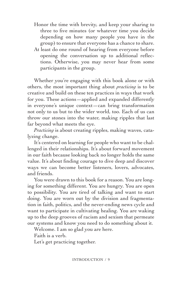Honor the time with brevity, and keep your sharing to three to five minutes (or whatever time you decide depending on how many people you have in the group) to ensure that everyone has a chance to share. At least do one round of hearing from everyone before opening the conversation up to additional reflections. Otherwise, you may never hear from some participants in the group.

Whether you're engaging with this book alone or with others, the most important thing about *practicing* is to be creative and build on these ten practices in ways that work for you. These actions—applied and expanded differently in everyone's unique context—can bring transformation not only to us but to the wider world, too. Each of us can throw our stones into the water, making ripples that last far beyond what meets the eye.

*Practicing* is about creating ripples, making waves, catalyzing change.

It's centered on learning for people who want to be challenged in their relationships. It's about forward movement in our faith because looking back no longer holds the same value. It's about finding courage to dive deep and discover ways we can become better listeners, lovers, advocates, and friends.

You were drawn to this book for a reason. You are longing for something different. You are hungry. You are open to possibility. You are tired of talking and want to start doing. You are worn out by the division and fragmentation in faith, politics, and the never-ending news cycle and want to participate in cultivating healing. You are waking up to the deep grooves of racism and sexism that permeate our systems and know you need to do something about it.

Welcome. I am so glad you are here.

Faith is a verb.

Let's get practicing together.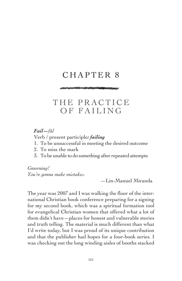## CHAPTER 8

**ین افزاد این آن که دی زندگاه به نحوان ساله باشد استفاده استفاده در است** 

### THE PRACTICE OF FAILING

*Fail—fāl*

Verb / present participle*: failing*

- 1. To be unsuccessful in meeting the desired outcome
- 2. To miss the mark
- 3. To be unable to do something after repeated attempts

*Gmorning! You're gonna make mistakes.*

—Lin-Manuel Miranda

The year was 2007 and I was walking the floor of the international Christian book conference preparing for a signing for my second book, which was a spiritual formation tool for evangelical Christian women that offered what a lot of them didn't have—places for honest and vulnerable stories and truth telling. The material is much different than what I'd write today, but I was proud of its unique contribution and that the publisher had hopes for a four-book series. I was checking out the long winding aisles of booths stacked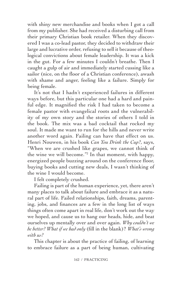with shiny new merchandise and books when I got a call from my publisher. She had received a disturbing call from their primary Christian book retailer. When they discovered I was a co-lead pastor, they decided to withdraw their large and lucrative order, refusing to sell it because of theological convictions about female leadership. It was a kick in the gut. For a few minutes I couldn't breathe. Then I caught a gulp of air and immediately started cussing like a sailor (nice, on the floor of a Christian conference), awash with shame and anger, feeling like a failure. Simply for being female.

It's not that I hadn't experienced failures in different ways before, but this particular one had a hard and painful edge. It magnified the risk I had taken to become a female pastor with evangelical roots and the vulnerability of my own story and the stories of others I told in the book. The mix was a bad cocktail that rocked my soul. It made me want to run for the hills and never write another word again. Failing can have that effect on us. Henri Nouwen, in his book *Can You Drink the Cup?*, says, "When we are crushed like grapes, we cannot think of the wine we will become."2 In that moment, with happy, energized people buzzing around on the conference floor, buying books and cutting new deals, I wasn't thinking of the wine I would become.

I felt completely crushed.

Failing is part of the human experience, yet, there aren't many places to talk about failure and embrace it as a natural part of life. Failed relationships, faith, dreams, parenting, jobs, and finances are a few in the long list of ways things often come apart in real life, don't work out the way we hoped, and cause us to hang our heads, hide, and beat ourselves up mentally over and over again. *Why couldn't we be better? What if we had only* (fill in the blank)? *What's wrong with us?*

This chapter is about the practice of failing, of learning to embrace failure as a part of being human, cultivating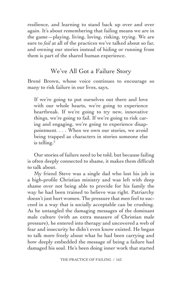resilience, and learning to stand back up over and over again. It's about remembering that failing means we are in the game—playing, living, loving, risking, trying. We are sure to *fail* at all of the practices we've talked about so far, and owning our stories instead of hiding or running from them is part of the shared human experience.

#### We've All Got a Failure Story

Brené Brown, whose voice continues to encourage so many to risk failure in our lives, says,

If we're going to put ourselves out there and love with our whole hearts, we're going to experience heartbreak. If we're going to try new, innovative things, we're going to fail. If we're going to risk caring and engaging, we're going to experience disappointment. . . . When we own our stories, we avoid being trapped as characters in stories someone else is telling.<sup>3</sup>

Our stories of failure need to be told, but because failing is often deeply connected to shame, it makes them difficult to talk about.

My friend Steve was a single dad who lost his job in a high-profile Christian ministry and was left with deep shame over not being able to provide for his family the way he had been trained to believe was right. Patriarchy doesn't just hurt women. The pressure that men feel to succeed in a way that is socially acceptable can be crushing. As he untangled the damaging messages of the dominant male culture (with an extra measure of Christian male pressure), he entered into therapy and uncovered a web of fear and insecurity he didn't even know existed. He began to talk more freely about what he had been carrying and how deeply embedded the message of being a failure had damaged his soul. He's been doing inner work that started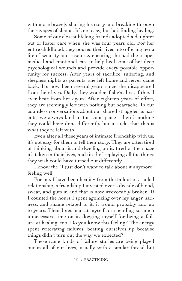with more bravely sharing his story and breaking through the ravages of shame. It's not easy, but he's finding healing.

Some of our closest lifelong friends adopted a daughter out of foster care when she was four years old. For her entire childhood, they poured their lives into offering her a life of security and resource, ensuring she had the proper medical and emotional care to help heal some of her deep psychological wounds and provide every possible opportunity for success. After years of sacrifice, suffering, and sleepless nights as parents, she left home and never came back. It's now been several years since she disappeared from their lives. Daily, they wonder if she's alive, if they'll ever hear from her again. After eighteen years of effort, they are seemingly left with nothing but heartache. In our countless conversations about our shared struggles as parents, we always land in the same place—there's nothing they could have done differently but it sucks that this is what they're left with.

Even after all these years of intimate friendship with us, it's not easy for them to tell their story. They are often tired of thinking about it and dwelling on it, tired of the space it's taken in their lives, and tired of replaying all the things they wish could have turned out differently.

I know the "I just don't want to talk about it anymore" feeling well.

For me, I have been healing from the fallout of a failed relationship, a friendship I invested over a decade of blood, sweat, and guts in and that is now irrevocably broken. If I counted the hours I spent agonizing over my anger, sadness, and shame related to it, it would probably add up to years. Then I get mad at myself for spending so much unnecessary time on it, flogging myself for being a failure at healing, too. Do you know this feeling? The energy spent reiterating failures, beating ourselves up because things didn't turn out the way we expected?

These same kinds of failure stories are being played out in all of our lives, usually with a similar thread but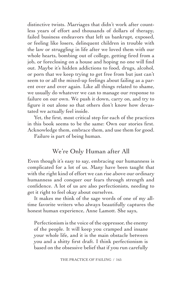distinctive twists. Marriages that didn't work after countless years of effort and thousands of dollars of therapy, failed business endeavors that left us bankrupt, exposed, or feeling like losers, delinquent children in trouble with the law or struggling in life after we loved them with our whole hearts, bombing out of college, getting fired from a job, or foreclosing on a house and hoping no one will find out. Maybe it's hidden addictions to food, drugs, alcohol, or porn that we keep trying to get free from but just can't seem to or all the mixed-up feelings about failing as a parent over and over again. Like all things related to shame, we usually do whatever we can to manage our response to failure on our own. We push it down, carry on, and try to figure it out alone so that others don't know how devastated we actually feel inside.

Yet, the first, most critical step for each of the practices in this book seems to be the same: Own our stories first. Acknowledge them, embrace them, and use them for good.

Failure is part of being human.

#### We're Only Human after All

Even though it's easy to say, embracing our humanness is complicated for a lot of us. Many have been taught that with the right kind of effort we can rise above our ordinary humanness and conquer our fears through strength and confidence. A lot of us are also perfectionists, needing to get it right to feel okay about ourselves.

It makes me think of the sage words of one of my alltime favorite writers who always beautifully captures the honest human experience, Anne Lamott. She says,

Perfectionism is the voice of the oppressor, the enemy of the people. It will keep you cramped and insane your whole life, and it is the main obstacle between you and a shitty first draft. I think perfectionism is based on the obsessive belief that if you run carefully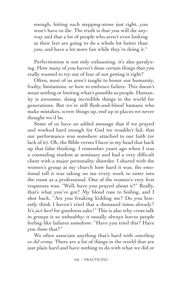enough, hitting each stepping-stone just right, you won't have to die. The truth is that you will die anyway and that a lot of people who aren't even looking at their feet are going to do a whole lot better than you, and have a lot more fun while they're doing it.4

Perfectionism is not only exhausting, it's also paralyzing. How many of you haven't done certain things that you really wanted to try out of fear of not getting it right?

Often, most of us aren't taught to honor our humanity, frailty, limitations, or how to embrace failure. This doesn't mean settling or limiting what's possible as people. Humanity is awesome, doing incredible things in the world for generations. But we're still flesh-and-blood humans who make mistakes, screw things up, end up in places we never thought we'd be.

Some of us have an added message that if we prayed and worked hard enough for God we wouldn't fail, that our performance was somehow attached to our faith (or lack of it). Oh, the Bible verses I have in my head that back up that false thinking. I remember years ago when I was a counseling student at seminary and had a very difficult client with a major personality disorder. I shared with the women's group at my church how hard it was, the emotional toll it was taking on me every week to enter into the room as a professional. One of the women's very first responses was: "Well, have you prayed about it?" Really, that's what you've got? My blood rose to boiling, and I shot back, "Are you freaking kidding me? Do you honestly think I haven't tried that a thousand times already? It's *just hard* for goodness sake!" This is also why cross talk in groups is so unhealthy; it usually always leaves people feeling like failures somehow: "Have you tried this? Have you done that?"

We often associate anything that's hard with *something we did wrong*. There are a lot of things in the world that are just plain hard and have nothing to do with what we did or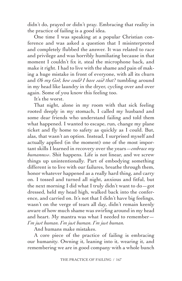didn't do, prayed or didn't pray. Embracing that reality in the practice of failing is a good idea.

One time I was speaking at a popular Christian conference and was asked a question that I misinterpreted and completely flubbed the answer. It was related to race and privilege and was horribly humiliating because in that moment I couldn't fix it, steal the microphone back, and make it right. I had to live with the shame and pain of making a huge mistake in front of everyone, with all its churn and *Oh my God, how could I have said that?* tumbling around in my head like laundry in the dryer, cycling over and over again. Some of you know this feeling too.

It's the worst.

That night, alone in my room with that sick feeling rooted deeply in my stomach, I called my husband and some dear friends who understand failing and told them what happened. I wanted to escape, run, change my plane ticket and fly home to safety as quickly as I could. But, alas, that wasn't an option. Instead, I surprised myself and actually applied (in the moment) one of the most important skills I learned in recovery over the years—*embrace my humanness*. Shit happens. Life is not linear, and we screw things up unintentionally. Part of embodying something different is to live with our failures, breathe through them, honor whatever happened as a really hard thing, and carry on. I tossed and turned all night, anxious and fitful, but the next morning I did what I truly didn't want to do—got dressed, held my head high, walked back into the conference, and carried on. It's not that I didn't have big feelings, wasn't on the verge of tears all day, didn't remain keenly aware of how much shame was swirling around in my head and heart. My mantra was what I needed to remember— *I'm just human. I'm just human. I'm just human.*

And humans make mistakes.

A core piece of the practice of failing is embracing our humanity. Owning it, leaning into it, wearing it, and remembering we are in good company with a whole bunch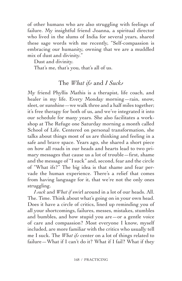of other humans who are also struggling with feelings of failure. My insightful friend Joanna, a spiritual director who lived in the slums of India for several years, shared these sage words with me recently, "Self-compassion is embracing our humanity, owning that we are a muddled mix of dust and divinity."

Dust and divinity.

That's me, that's you, that's all of us.

#### The *What ifs* and *I Sucks*

My friend Phyllis Mathis is a therapist, life coach, and healer in my life. Every Monday morning—rain, snow, sleet, or sunshine—we walk three and a half miles together; it's free therapy for both of us, and we've integrated it into our schedule for many years. She also facilitates a workshop at The Refuge one Saturday morning a month called School of Life. Centered on personal transformation, she talks about things most of us are thinking and feeling in a safe and brave space. Years ago, she shared a short piece on how all roads in our heads and hearts lead to two primary messages that cause us a lot of trouble—first, shame and the message of "I suck" and, second, fear and the circle of "What ifs?" The big idea is that shame and fear pervade the human experience. There's a relief that comes from having language for it, that we're not the only ones struggling.

*I suck* and *What if* swirl around in a lot of our heads. All. The. Time. Think about what's going on in your own head. Does it have a circle of critics, lined up reminding you of all your shortcomings, failures, messes, mistakes, stumbles and bumbles, and how stupid you are—or a gentle voice of care and compassion? Most everyone I know, myself included, are more familiar with the critics who usually tell me I suck. The *What ifs* center on a lot of things related to failure—What if I can't do it? What if I fail? What if they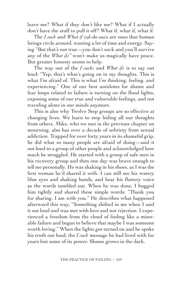leave me? What if they don't like me? What if I actually don't have the stuff to pull it off? What if, what if, what if.

The *I suck* and *What if* cul-de-sacs are ones that human beings circle around, wasting a lot of time and energy. Saying "But that's not true—you don't suck and you'll survive any of the *What ifs"* won't make us magically have peace. But greater honesty seems to help.

The way out of the *I sucks* and *What ifs* is to say out loud: "Yep, that's what's going on in my thoughts. This is what I'm afraid of. This is what I'm thinking, feeling, and experiencing." One of our best antidotes for shame and fear loops related to failure is turning on the flood lights, exposing some of our true and vulnerable feelings, and not traveling alone in our minds anymore.

This is also why Twelve Step groups are so effective at changing lives. We learn to stop hiding all our thoughts from others. Mike, who we met in the previous chapter on mourning, also has over a decade of sobriety from sexual addiction. Trapped for over forty years in its shameful grip, he did what so many people are afraid of doing—said it out loud to a group of other people and acknowledged how much he struggled. He started with a group of safe men in his recovery group and then one day was brave enough to tell me personally. He was shaking in his shoes, as I was the first woman he'd shared it with. I can still see his watery blue eyes and shaking hands, and hear his fluttery voice as the words tumbled out. When he was done, I hugged him tightly and shared these simple words: "Thank you for sharing. I am with you." He describes what happened afterward this way, "Something shifted in me when I said it out loud and was met with love and not rejection. I experienced a freedom from the cloud of feeling like a miserable failure and began to believe that maybe I was someone worth loving." When the lights got turned on and he spoke his truth out loud, the *I suck* message he had lived with for years lost some of its power. Shame grows in the dark.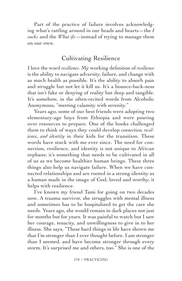Part of the practice of failure involves acknowledging what's rattling around in our heads and hearts—the *I sucks* and the *What ifs*—instead of trying to manage them on our own.

#### Cultivating Resilience

I love the word *resilience*. My working definition of *resilience* is the ability to navigate adversity, failure, and change with as much health as possible. It's the ability to absorb pain and struggle but not let it kill us. It's a bounce-back-ness that isn't fake or denying of reality but deep and tangible. It's somehow, in the often-recited words from Alcoholic Anonymous, "meeting calamity with serenity."

Years ago, some of our best friends were adopting two elementary-age boys from Ethiopia and were pouring over resources to prepare. One of the books challenged them to think of ways they could develop *connection, resilience, and identity* in their kids for the transition. These words have stuck with me ever since. The need for connection, resilience, and identity is not unique to African orphans; it's something that needs to be cultivated in all of us as we become healthier human beings. These three things also help us navigate failure. When we have connected relationships and are rooted in a strong identity as a human made in the image of God, loved and worthy, it helps with resilience.

I've known my friend Tami for going on two decades now. A trauma survivor, she struggles with mental illness and sometimes has to be hospitalized to get the care she needs. Years ago, she would remain in dark places not just for months but for years. It was painful to watch but I saw her courage, tenacity, and unwillingness to give in to her illness. She says, "These hard things in life have shown me that I'm stronger than I ever thought before. I am stronger than I seemed, and have become stronger through every storm. It's surprised me and others, too." She is one of the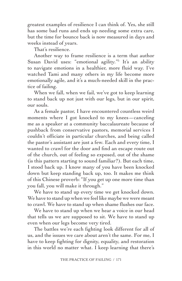greatest examples of resilience I can think of. Yes, she still has some bad runs and ends up needing some extra care, but the time for bounce back is now measured in days and weeks instead of years.

That's resilience.

Another way to frame resilience is a term that author Susan David uses: "emotional agility."<sup>5</sup> It's an ability to navigate emotions in a healthier, more fluid way. I've watched Tami and many others in my life become more emotionally agile, and it's a much-needed skill in the practice of failing.

When we fall, when we fail, we've got to keep learning to stand back up not just with our legs, but in our spirit, our souls.

As a female pastor, I have encountered countless weird moments where I got knocked to my knees—canceling me as a speaker at a community baccalaureate because of pushback from conservative pastors, memorial services I couldn't officiate in particular churches, and being called the pastor's assistant are just a few. Each and every time, I wanted to crawl for the door and find an escape route out of the church, out of feeling so exposed, out of the shame (is this pattern starting to sound familiar?). But each time, I stood back up. I know many of you have been knocked down but keep standing back up, too. It makes me think of this Chinese proverb: "If you get up one more time than you fall, you will make it through."

We have to stand up every time we get knocked down. We have to stand up when we feel like maybe we were meant to crawl. We have to stand up when shame flushes our face.

We have to stand up when we hear a voice in our head that tells us we are supposed to sit. We have to stand up even when our legs become very tired.

The battles we're each fighting look different for all of us, and the issues we care about aren't the same. For me, I have to keep fighting for dignity, equality, and restoration in this world no matter what. I keep learning that there's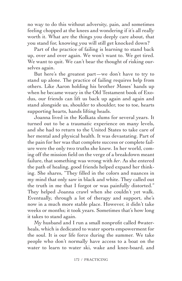no way to do this without adversity, pain, and sometimes feeling chopped at the knees and wondering if it's all really worth it. What are the things you deeply care about, that you stand for, knowing you will still get knocked down?

Part of the practice of failing is learning to stand back up, over and over again. We won't want to. We get tired. We want to quit. We can't bear the thought of risking ourselves again.

But here's the greatest part—we don't have to try to stand up alone. The practice of failing requires help from others. Like Aaron holding his brother Moses' hands up when he became weary in the Old Testament book of Exodus, our friends can lift us back up again and again and stand alongside us, shoulder to shoulder, toe to toe, hearts supporting hearts, hands lifting heads.

Joanna lived in the Kolkata slums for several years. It turned out to be a traumatic experience on many levels, and she had to return to the United States to take care of her mental and physical health. It was devastating. Part of the pain for her was that complete success or complete failure were the only two truths she knew. In her world, coming off the mission field on the verge of a breakdown meant failure, that something was wrong with *her*. As she entered the path of healing, good friends helped expand her thinking. She shares, "They filled in the colors and nuances in my mind that only saw in black and white. They called out the truth in me that I forgot or was painfully distorted." They helped Joanna crawl when she couldn't yet walk. Eventually, through a lot of therapy and support, she's now in a much more stable place. However, it didn't take weeks or months; it took years. Sometimes that's how long it takes to stand again.

My husband and I run a small nonprofit called #waterheals, which is dedicated to water sports empowerment for the soul. It is our life force during the summer. We take people who don't normally have access to a boat on the water to learn to water ski, wake and knee-board, and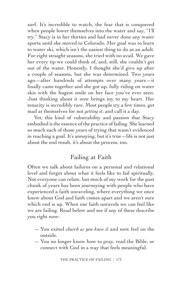surf. It's incredible to watch, the fear that is conquered when people lower themselves into the water and say, "I'll try." Stacy is in her thirties and had never done any water sports until she moved to Colorado. Her goal was to learn to water ski, which isn't the easiest thing to do as an adult. For eight straight seasons, she tried with no avail. We gave her every tip we could think of, and, still, she couldn't get out of the water. Honestly, I thought she'd give up after a couple of seasons, but she was determined. Two years ago—after hundreds of attempts over many years—it finally came together and she got up, fully riding on water skis with the hugest smile on her face you've ever seen. Just thinking about it now brings joy to my heart. Her tenacity is incredibly rare. Most people try a few times, get mad at themselves for not *getting it*, and call it a day.

Yet, this kind of vulnerability and passion that Stacy embodied is the essence of the practice of failing. She learned so much each of those years of trying that wasn't evidenced in reaching a goal. It's annoying, but it's true—life is not just about the end result, it's about the process, too.

#### Failing at Faith

Often we talk about failures on a personal and relational level and forget about what it feels like to fail spiritually. Not everyone can relate, but much of my work for the past chunk of years has been journeying with people who have experienced a faith unraveling, where everything we once knew about God and faith comes apart and we aren't sure which end is up. When our faith unravels we can feel like we are failing. Read below and see if any of these describe you right now:

- You exited *church as you knew it* and now feel on the outside.
- You no longer know how to pray, read the Bible, or connect with God in a way that feels meaningful.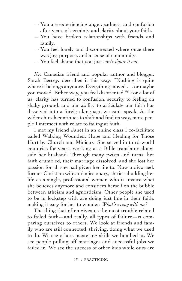- You are experiencing anger, sadness, and confusion after years of certainty and clarity about your faith.
- You have broken relationships with friends and family.
- You feel lonely and disconnected where once there was joy, purpose, and a sense of community.
- You feel shame that you just can't *figure it out.*

My Canadian friend and popular author and blogger, Sarah Bessey, describes it this way: "Nothing is quite where it belongs anymore. Everything moved . . . or maybe you moved. Either way, you feel disoriented."6 For a lot of us, clarity has turned to confusion, security to feeling on shaky ground, and our ability to articulate our faith has dissolved into a foreign language we can't speak. As the wider church continues to shift and find its way, more people I intersect with relate to failing at faith.

I met my friend Janet in an online class I co-facilitate called Walking Wounded: Hope and Healing for Those Hurt by Church and Ministry. She served in third-world countries for years, working as a Bible translator alongside her husband. Through many twists and turns, her faith crumbled, their marriage dissolved, and she lost her passion for all she had given her life to. Now a divorced, former Christian wife and missionary, she is rebuilding her life as a single, professional woman who is unsure what she believes anymore and considers herself on the bubble between atheism and agnosticism. Other people she used to be in lockstep with are doing just fine in their faith, making it easy for her to wonder: *What's wrong with me?* 

The thing that often gives us the most trouble related to failed faith—and really, all types of failure—is comparing ourselves to others. We look at friends and family who are still connected, thriving, doing what we used to do. We see others mastering skills we bombed at. We see people pulling off marriages and successful jobs we failed in. We see the success of other kids while ours are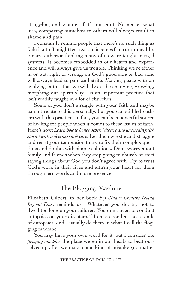struggling and wonder if it's our fault. No matter what it is, comparing ourselves to others will always result in shame and pain.

I constantly remind people that there's no such thing as failed faith. It might feel real but it comes from the unhealthy binary, either/or thinking many of us were taught in rigid systems. It becomes embedded in our hearts and experience and will always give us trouble. Thinking we're either in or out, right or wrong, on God's good side or bad side, will always lead to pain and strife. Making peace with an evolving faith—that we will always be changing, growing, morphing our spirituality—is an important practice that isn't readily taught in a lot of churches.

Some of you don't struggle with your faith and maybe cannot relate to this personally, but you can still help others with this practice. In fact, you can be a powerful source of healing for people when it comes to these issues of faith. Here's how: *Learn how to honor others' diverse and uncertain faith stories with tenderness and care*. Let them wrestle and struggle and resist your temptation to try to fix their complex questions and doubts with simple solutions. Don't worry about family and friends when they stop going to church or start saying things about God you don't agree with. Try to trust God's work in their lives and affirm your heart for them through less words and more presence.

#### The Flogging Machine

Elizabeth Gilbert, in her book *Big Magic: Creative Living Beyond Fear*, reminds us: "Whatever you do, try not to dwell too long on your failures. You don't need to conduct autopsies on your disasters."7 I am so good at these kinds of autopsies, and I usually do them in what I call the flogging machine.

You may have your own word for it, but I consider the *flogging machine* the place we go in our heads to beat ourselves up after we make some kind of mistake (no matter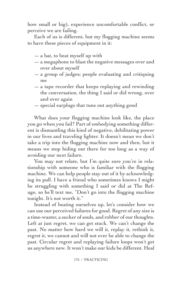how small or big), experience uncomfortable conflict, or perceive we are failing.

Each of us is different, but my flogging machine seems to have these pieces of equipment in it:

- a bat, to beat myself up with
- a megaphone to blast the negative messages over and over about myself
- a group of judges; people evaluating and critiquing me
- a tape recorder that keeps replaying and rewinding the conversation, the thing I said or did wrong, over and over again
- special earplugs that tune out anything good

What does your flogging machine look like, the place you go when you fail? Part of embodying something different is dismantling this kind of negative, debilitating power in our lives and traveling lighter. It doesn't mean we don't take a trip into the flogging machine now and then, but it means we stop hiding out there for too long as a way of avoiding our next failure.

You may not relate, but I'm quite sure you're in relationship with someone who is familiar with the flogging machine. We can help people stay out of it by acknowledging its pull. I have a friend who sometimes knows I might be struggling with something I said or did at The Refuge, so he'll text me, "Don't go into the flogging machine tonight. It's not worth it."

Instead of beating ourselves up, let's consider how we can use our perceived failures for good. Regret of any size is a time-waster, a sucker of souls, and robber of our thoughts. Left at just regret, we can get stuck. We can't change the past. No matter how hard we will it, replay it, rethink it, regret it, we cannot and will not ever be able to change the past. Circular regret and replaying failure loops won't get us anywhere new. It won't make our kids be different. Heal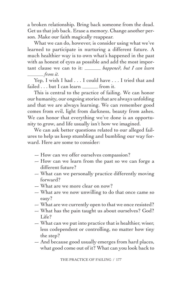a broken relationship. Bring back someone from the dead. Get us that job back. Erase a memory. Change another person. Make our faith magically reappear.

What we can do, however, is consider using what we've learned to participate in nurturing a different future. A much healthier way is to own what's happened in the past with as honest of eyes as possible and add the most important clause we can to it: *happened*, *but I can learn from it.* 

Yep, I wish I had . . . I could have . . . I tried that and  $failed \dots$  but I can learn  $\frac{1}{1}$  from it.

This is central to the practice of failing. We can honor our humanity, our ongoing stories that are always unfolding and that we are always learning. We can remember good comes from evil, light from darkness, beauty from ashes. We can honor that everything we've done is an opportunity to grow, and life usually isn't how we imagined.

We can ask better questions related to our alleged failures to help us keep stumbling and bumbling our way forward. Here are some to consider:

- How can we offer ourselves compassion?
- How can we learn from the past so we can forge a different future?
- What can we personally practice differently moving forward?
- What are we more clear on now?
- What are we now unwilling to do that once came so easy?
- What are we currently open to that we once resisted?
- What has the pain taught us about ourselves? God? Life?
- What can we put into practice that is healthier, wiser, less codependent or controlling, no matter how tiny the step?
- And because good usually emerges from hard places, what good come out of it? What can you look back to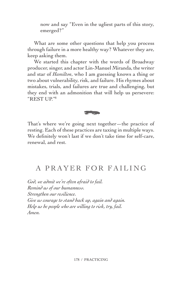now and say "Even in the ugliest parts of this story, emerged?"

What are some other questions that help you process through failure in a more healthy way? Whatever they are, keep asking them.

We started this chapter with the words of Broadway producer, singer, and actor Lin-Manuel Miranda, the writer and star of *Hamilton*, who I am guessing knows a thing or two about vulnerability, risk, and failure. His rhymes about mistakes, trials, and failures are true and challenging, but they end with an admonition that will help us persevere: "REST UP."8



That's where we're going next together—the practice of resting. Each of these practices are taxing in multiple ways. We definitely won't last if we don't take time for self-care, renewal, and rest.

#### A PRAYER FOR FAILING

*God, we admit we're often afraid to fail. Remind us of our humanness. Strengthen our resilience. Give us courage to stand back up, again and again. Help us be people who are willing to risk, try, fail. Amen.*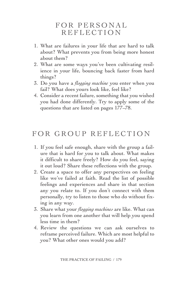#### FOR PERSONAL REFLECTION

- 1. What are failures in your life that are hard to talk about? What prevents you from being more honest about them?
- 2. What are some ways you've been cultivating resilience in your life, bouncing back faster from hard things?
- 3. Do you have a *flogging machine* you enter when you fail? What does yours look like, feel like?
- 4. Consider a recent failure, something that you wished you had done differently. Try to apply some of the questions that are listed on pages 177–78.

### FOR GROUP REFLECTION

- 1. If you feel safe enough, share with the group a failure that is hard for you to talk about. What makes it difficult to share freely? How do you feel, saying it out loud? Share these reflections with the group.
- 2. Create a space to offer any perspectives on feeling like we've failed at faith. Read the list of possible feelings and experiences and share in that section any you relate to. If you don't connect with them personally, try to listen to those who do without fixing in any way.
- 3. Share what your *flogging machines* are like. What can you learn from one another that will help you spend less time in them?
- 4. Review the questions we can ask ourselves to reframe perceived failure. Which are most helpful to you? What other ones would you add?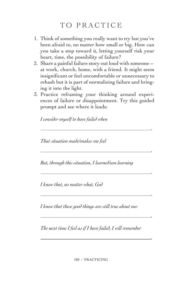### TO PRACTICE

- 1. Think of something you really want to try but you've been afraid to, no matter how small or big. How can you take a step toward it, letting yourself risk your heart, time, the possibility of failure?
- 2. Share a painful failure story out loud with someone at work, church, home, with a friend. It might seem insignificant or feel uncomfortable or unnecessary to rehash but it is part of normalizing failure and bringing it into the light.
- 3. Practice reframing your thinking around experiences of failure or disappointment. Try this guided prompt and see where it leads:

*.*

*.*

*.*

*.*

*.*

*.*

*I consider myself to have failed when*

*That situation made/makes me feel*

*But, through this situation, I learned/am learning*

*I know that, no matter what, God* 

*I know that these good things are still true about me:*

*The next time I feel as if I have failed, I will remember*